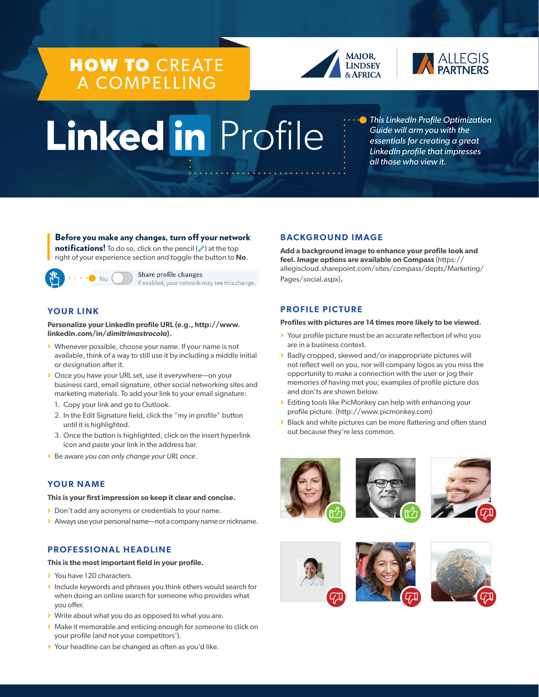# **HOW TO** CREATE A COMPELLING





# Linked in Profile

*This LinkedIn Profile Optimization Guide will arm you with the essentials for creating a great LinkedIn profile that impresses all those who view it.* 

# Before you make any changes, turn off your network

**notifications!** To do so, click on the pencil  $(\mathscr{P})$  at the top right of your experience section and toggle the button to **No**.



Share profile changes If enabled, your network may see this change.

# **YOUR LINK**

**Personalize your LinkedIn profile URL (e.g., http://www. linkedin.com/in/***dimitrimastrocola***).** 

- > Whenever possible, choose your name. If your name is not available, think of a way to still use it by including a middle initial or designation after it.
- > Once you have your URL set, use it everywhere—on your business card, email signature, other social networking sites and marketing materials. To add your link to your email signature:
	- 1. Copy your link and go to Outlook.
	- 2. In the Edit Signature field, click the "my in profile" button until it is highlighted.
	- 3. Once the button is highlighted, click on the insert hyperlink icon and paste your link in the address bar.
- > Be aware *you can only change your URL once*.

# **YOUR NAME**

#### **This is your first impression so keep it clear and concise.**

- > Don't add any acronyms or credentials to your name.
- > Always use your personal name—not a company name or nickname.

# **PROFESSIONAL HEADLINE**

# **This is the most important field in your profile.**

- > You have 120 characters.
- > Include keywords and phrases you think others would search for when doing an online search for someone who provides what you offer.
- > Write about what you do as opposed to what you are.
- > Make it memorable and enticing enough for someone to click on your profile (and not your competitors').
- > Your headline can be changed as often as you'd like.

# **BACKGROUND IMAGE**

**Add a background image to enhance your profile look and feel. Image options are available on Compass** (https:// allegiscloud.sharepoint.com/sites/compass/depts/Marketing/ Pages/social.aspx)**.**

# **PROFILE PICTURE**

#### **Profiles with pictures are 14 times more likely to be viewed.**

- > Your profile picture must be an accurate reflection of who you are in a business context.
- > Badly cropped, skewed and/or inappropriate pictures will not reflect well on you, nor will company logos as you miss the opportunity to make a connection with the user or jog their memories of having met you; examples of profile picture dos and don'ts are shown below.
- > Editing tools like PicMonkey can help with enhancing your profile picture. (http://www.picmonkey.com)
- > Black and white pictures can be more flattering and often stand out because they're less common.